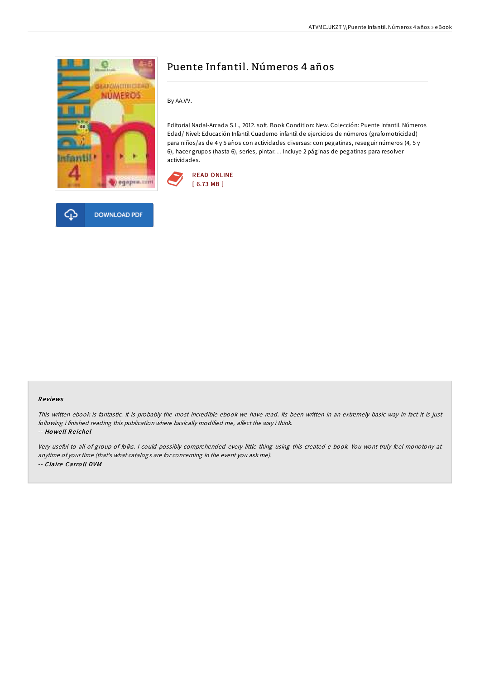



# Puente Infantil. Números 4 años

By AA.VV.

Editorial Nadal-Arcada S.L., 2012. soft. Book Condition: New. Colección: Puente Infantil. Números Edad/ Nivel: Educación Infantil Cuaderno infantil de ejercicios de números (grafomotricidad) para niños/as de 4 y 5 años con actividades diversas: con pegatinas, reseguir números (4, 5 y 6), hacer grupos (hasta 6), series, pintar. . . Incluye 2 páginas de pegatinas para resolver actividades.



## Re views

This written ebook is fantastic. It is probably the most incredible ebook we have read. Its been written in an extremely basic way in fact it is just following i finished reading this publication where basically modified me, affect the way i think. -- Ho we ll Re iche l

Very useful to all of group of folks. <sup>I</sup> could possibly comprehended every little thing using this created <sup>e</sup> book. You wont truly feel monotony at anytime of your time (that's what catalogs are for concerning in the event you ask me). -- Claire Carro ll DVM